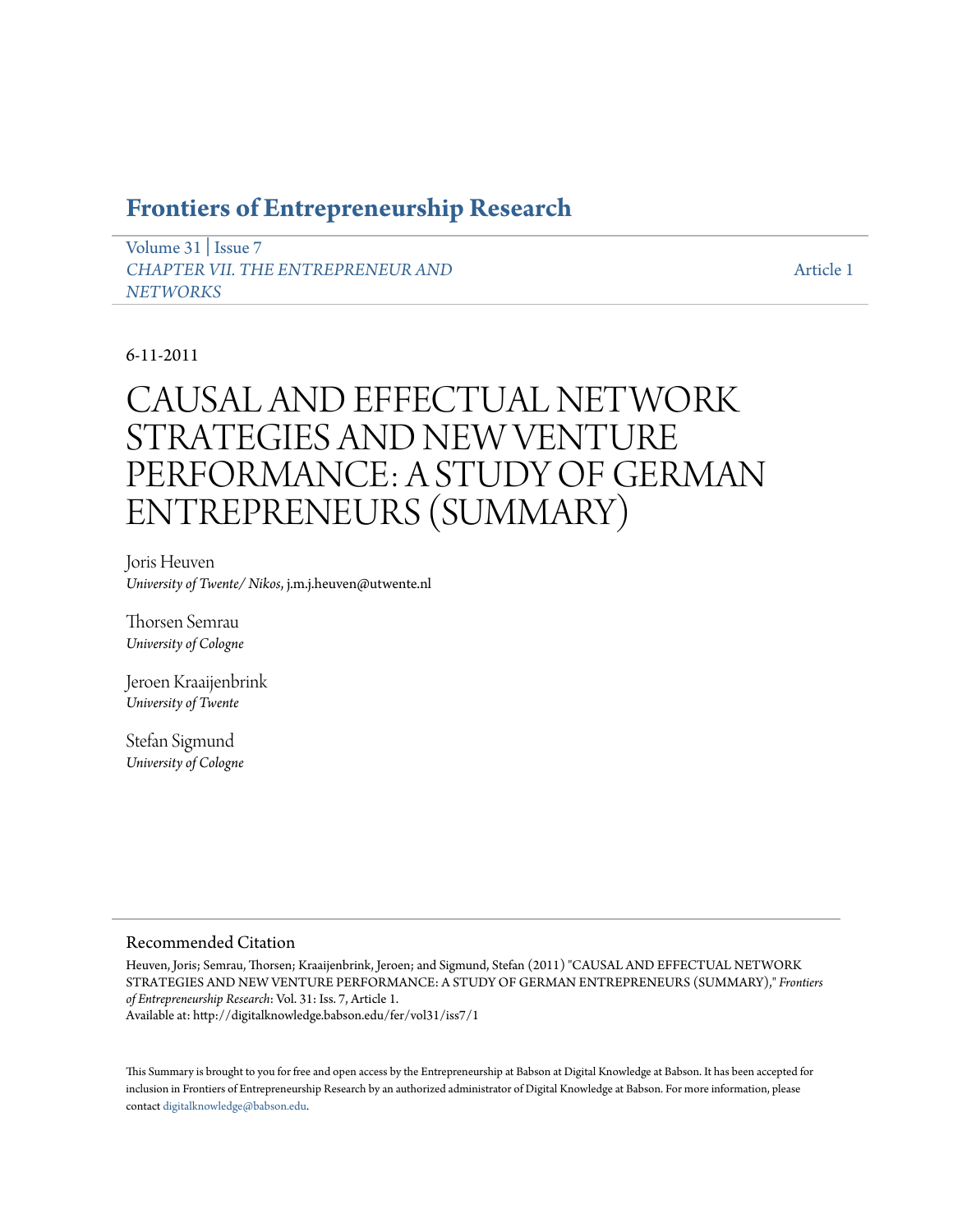# **[Frontiers of Entrepreneurship Research](http://digitalknowledge.babson.edu/fer)**

[Volume 31](http://digitalknowledge.babson.edu/fer/vol31) | [Issue 7](http://digitalknowledge.babson.edu/fer/vol31/iss7) *[CHAPTER VII. THE ENTREPRENEUR AND](http://digitalknowledge.babson.edu/fer/vol31/iss7) [NETWORKS](http://digitalknowledge.babson.edu/fer/vol31/iss7)*

[Article 1](http://digitalknowledge.babson.edu/fer/vol31/iss7/1)

# 6-11-2011

# CAUSAL AND EFFECTUAL NETWORK STRATEGIES AND NEW VENTURE PERFORMANCE: A STUDY OF GERMAN ENTREPRENEURS (SUMMARY)

Joris Heuven *University of Twente/ Nikos*, j.m.j.heuven@utwente.nl

Thorsen Semrau *University of Cologne*

Jeroen Kraaijenbrink *University of Twente*

Stefan Sigmund *University of Cologne*

### Recommended Citation

Heuven, Joris; Semrau, Thorsen; Kraaijenbrink, Jeroen; and Sigmund, Stefan (2011) "CAUSAL AND EFFECTUAL NETWORK STRATEGIES AND NEW VENTURE PERFORMANCE: A STUDY OF GERMAN ENTREPRENEURS (SUMMARY)," *Frontiers of Entrepreneurship Research*: Vol. 31: Iss. 7, Article 1. Available at: http://digitalknowledge.babson.edu/fer/vol31/iss7/1

This Summary is brought to you for free and open access by the Entrepreneurship at Babson at Digital Knowledge at Babson. It has been accepted for inclusion in Frontiers of Entrepreneurship Research by an authorized administrator of Digital Knowledge at Babson. For more information, please contact [digitalknowledge@babson.edu](mailto:digitalknowledge@babson.edu).